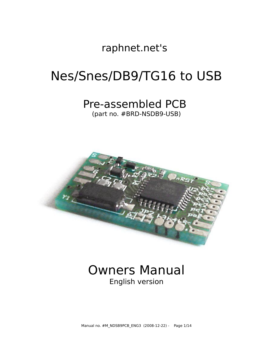raphnet.net's

# Nes/Snes/DB9/TG16 to USB

# Pre-assembled PCB

(part no. #BRD-NSDB9-USB)



# Owners Manual English version

Manual no. #M\_NDSB9PCB\_ENG3 (2008-12-22) - Page 1/14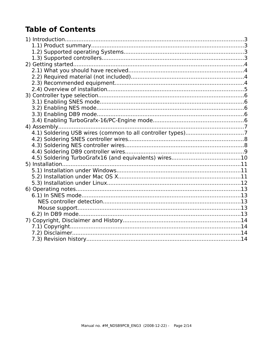# **Table of Contents**

| 4.1) Soldering USB wires (common to all controller types)7 |  |
|------------------------------------------------------------|--|
|                                                            |  |
|                                                            |  |
|                                                            |  |
|                                                            |  |
|                                                            |  |
|                                                            |  |
|                                                            |  |
|                                                            |  |
|                                                            |  |
|                                                            |  |
|                                                            |  |
|                                                            |  |
|                                                            |  |
|                                                            |  |
|                                                            |  |
|                                                            |  |
|                                                            |  |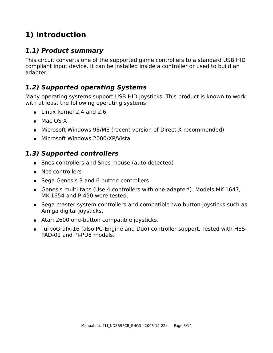# **1) Introduction**

### **1.1) Product summary**

This circuit converts one of the supported game controllers to a standard USB HID compliant input device. It can be installed inside a controller or used to build an adapter.

### **1.2) Supported operating Systems**

Many operating systems support USB HID joysticks. This product is known to work with at least the following operating systems:

- Linux kernel 2.4 and 2.6
- Mac OS X
- Microsoft Windows 98/ME (recent version of Direct X recommended)
- Microsoft Windows 2000/XP/Vista

### **1.3) Supported controllers**

- Snes controllers and Snes mouse (auto detected)
- Nes controllers
- Sega Genesis 3 and 6 button controllers
- Genesis multi-taps (Use 4 controllers with one adapter!). Models MK-1647, MK-1654 and P-450 were tested.
- Sega master system controllers and compatible two button joysticks such as Amiga digital joysticks.
- Atari 2600 one-button compatible joysticks.
- TurboGrafx-16 (also PC-Engine and Duo) controller support. Tested with HES-PAD-01 and PI-PD8 models.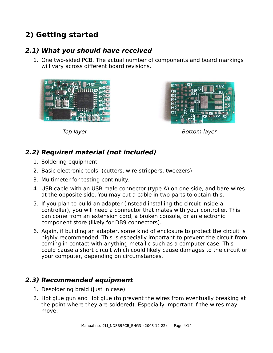# **2) Getting started**

### **2.1) What you should have received**

1. One two-sided PCB. The actual number of components and board markings will vary across different board revisions.





Top layer and the state of the Bottom layer

### **2.2) Required material (not included)**

- 1. Soldering equipment.
- 2. Basic electronic tools. (cutters, wire strippers, tweezers)
- 3. Multimeter for testing continuity.
- 4. USB cable with an USB male connector (type A) on one side, and bare wires at the opposite side. You may cut a cable in two parts to obtain this.
- 5. If you plan to build an adapter (instead installing the circuit inside a controller), you will need a connector that mates with your controller. This can come from an extension cord, a broken console, or an electronic component store (likely for DB9 connectors).
- 6. Again, if building an adapter, some kind of enclosure to protect the circuit is highly recommended. This is especially important to prevent the circuit from coming in contact with anything metallic such as a computer case. This could cause a short circuit which could likely cause damages to the circuit or your computer, depending on circumstances.

### **2.3) Recommended equipment**

- 1. Desoldering braid (just in case)
- 2. Hot glue gun and Hot glue (to prevent the wires from eventually breaking at the point where they are soldered). Especially important if the wires may move.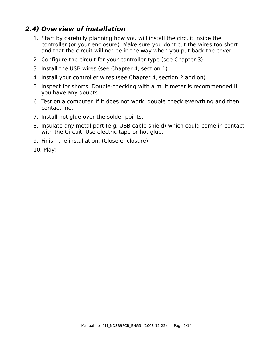### **2.4) Overview of installation**

- 1. Start by carefully planning how you will install the circuit inside the controller (or your enclosure). Make sure you dont cut the wires too short and that the circuit will not be in the way when you put back the cover.
- 2. Configure the circuit for your controller type (see Chapter 3)
- 3. Install the USB wires (see Chapter 4, section 1)
- 4. Install your controller wires (see Chapter 4, section 2 and on)
- 5. Inspect for shorts. Double-checking with a multimeter is recommended if you have any doubts.
- 6. Test on a computer. If it does not work, double check everything and then contact me.
- 7. Install hot glue over the solder points.
- 8. Insulate any metal part (e.g. USB cable shield) which could come in contact with the Circuit. Use electric tape or hot glue.
- 9. Finish the installation. (Close enclosure)
- 10. Play!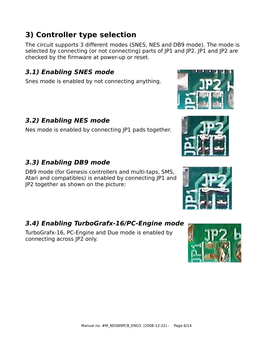#### Manual no. #M\_NDSB9PCB\_ENG3 (2008-12-22) - Page 6/14

### **3) Controller type selection**

The circuit supports 3 different modes (SNES, NES and DB9 mode). The mode is selected by connecting (or not connecting) parts of JP1 and JP2. JP1 and JP2 are checked by the firmware at power-up or reset.

### **3.1) Enabling SNES mode**

Snes mode is enabled by not connecting anything.

### **3.2) Enabling NES mode**

Nes mode is enabled by connecting JP1 pads together.

### **3.3) Enabling DB9 mode**

DB9 mode (for Genesis controllers and multi-taps, SMS, Atari and compatibles) is enabled by connecting JP1 and JP2 together as shown on the picture:

### **3.4) Enabling TurboGrafx-16/PC-Engine mode**

TurboGrafx-16, PC-Engine and Due mode is enabled by connecting across JP2 only.







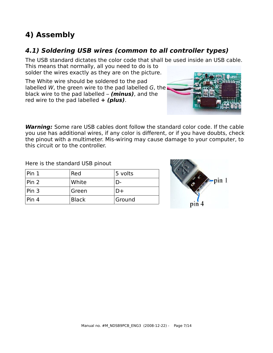# **4) Assembly**

### **4.1) Soldering USB wires (common to all controller types)**

The USB standard dictates the color code that shall be used inside an USB cable.

This means that normally, all you need to do is to solder the wires exactly as they are on the picture.

The White wire should be soldered to the pad labelled W, the green wire to the pad labelled G, the black wire to the pad labelled – **(minus)**, and the red wire to the pad labelled **+ (plus)**.



**Warning:** Some rare USB cables dont follow the standard color code. If the cable you use has additional wires, if any color is different, or if you have doubts, check the pinout with a multimeter. Mis-wiring may cause damage to your computer, to this circuit or to the controller.

Here is the standard USB pinout

| Pin 1 | Red          | 5 volts |
|-------|--------------|---------|
| Pin 2 | White        |         |
| Pin 3 | Green        |         |
| Pin 4 | <b>Black</b> | Ground  |

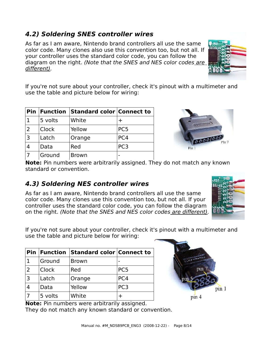#### Manual no. #M\_NDSB9PCB\_ENG3 (2008-12-22) - Page 8/14

### **4.2) Soldering SNES controller wires**

As far as I am aware, Nintendo brand controllers all use the same color code. Many clones also use this convention too, but not all. If your controller uses the standard color code, you can follow the diagram on the right. (Note that the SNES and NES color codes are different).

If you're not sure about your controller, check it's pinout with a multimeter and use the table and picture below for wiring:

|   |              | <b>Pin Function Standard color Connect to</b> |                 |
|---|--------------|-----------------------------------------------|-----------------|
|   | 5 volts      | White                                         |                 |
| 2 | <b>Clock</b> | Yellow                                        | PC <sub>5</sub> |
| 3 | Latch        | Orange                                        | PC4             |
|   | Data         | Red                                           | PC <sub>3</sub> |
|   | Ground       | <b>Brown</b>                                  |                 |

**Note:** Pin numbers were arbitrarily assigned. They do not match any known standard or convention.

### **4.3) Soldering NES controller wires**

**Pin Function Standard color Connect to**

2 Clock Red PC5

3 Latch Orange PC4 4 Data Yellow PC3

 $7 \quad |5 \text{ volts} \quad |White \quad |+$ 

1  $Ground$  Brown

As far as I am aware, Nintendo brand controllers all use the same color code. Many clones use this convention too, but not all. If your controller uses the standard color code, you can follow the diagram on the right. (Note that the SNES and NES color codes are different).

If you're not sure about your controller, check it's pinout with a multimeter and use the table and picture below for wiring:

|  | <b>Note:</b> Pin numbers were arbitrarily assigned. |  |
|--|-----------------------------------------------------|--|
|  | They do not match any known standard or convention. |  |







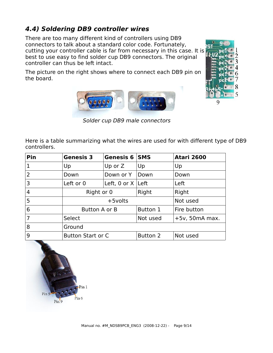### **4.4) Soldering DB9 controller wires**

There are too many different kind of controllers using DB9 connectors to talk about a standard color code. Fortunately, cutting your controller cable is far from necessary in this case. It is best to use easy to find solder cup DB9 connectors. The original controller can thus be left intact.

The picture on the right shows where to connect each DB9 pin on the board.

Here is a table summarizing what the wires are used for with different type of DB9 controllers.

Solder cup DB9 male connectors

| Pin            | <b>Genesis 3</b> | Genesis 6                | <b>SMS</b> | <b>Atari 2600</b> |
|----------------|------------------|--------------------------|------------|-------------------|
| $\mathbf{1}$   | Up               | Up or $Z$                | Up         | Up                |
| 2              | Down             | Down or Y                | Down       | Down              |
| 3              | Left or 0        | Left, 0 or $X$ Left      |            | Left              |
| $\overline{4}$ |                  | Right or 0               |            | Right             |
| 5 <sup>5</sup> |                  | $+5$ volts               |            | Not used          |
| 6              |                  | Button A or B            |            | Fire button       |
| $\overline{7}$ | Select           |                          |            | $+5v$ , 50mA max. |
| 8              | Ground           |                          |            |                   |
| 9              |                  | <b>Button Start or C</b> |            | Not used          |

# Pin 1 Pin  $Pin<sub>6</sub>$  $Pin<sup>9</sup>$

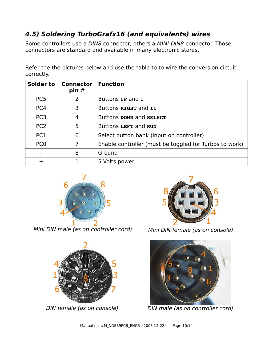### **4.5) Soldering TurboGrafx16 (and equivalents) wires**

Some controllers use a DIN8 connector, others a MINI-DIN8 connector. Those connectors are standard and available in many electronic stores.

| Solder to       | Connector<br>pin# | <b>Function</b>                                        |
|-----------------|-------------------|--------------------------------------------------------|
| PC <sub>5</sub> | 2                 | Buttons <b>up</b> and <b>I</b>                         |
| PC4             | 3                 | Buttons RIGHT and II                                   |
| PC <sub>3</sub> | 4                 | Buttons DOWN and SELECT                                |
| PC <sub>2</sub> | 5                 | Buttons LEFT and RUN                                   |
| PC <sub>1</sub> | 6                 | Select button bank (input on controller)               |
| PC <sub>0</sub> |                   | Enable controller (must be toggled for Turbos to work) |
|                 | 8                 | Ground                                                 |
|                 |                   | 5 Volts power                                          |

Refer the the pictures below and use the table to to wire the conversion circuit correctly.



Mini DIN male (as on controller cord) Mini DIN female (as on console)







DIN female (as on console) DIN male (as on controller cord)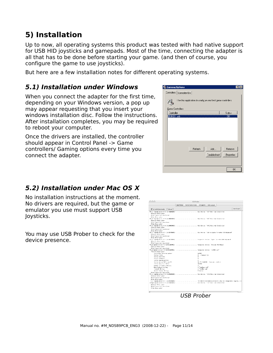## **5) Installation**

Up to now, all operating systems this product was tested with had native support for USB HID joysticks and gamepads. Most of the time, connecting the adapter is all that has to be done before starting your game. (and then of course, you configure the game to use joysticks).

But here are a few installation notes for different operating systems.

### **5.1) Installation under Windows**

When you connect the adapter for the first time, depending on your Windows version, a pop up may appear requesting that you insert your windows installation disc. Follow the instructions. After installation completes, you may be required to reboot your computer.

Once the drivers are installed, the controller should appear in Control Panel -> Game controllers/ Gaming options every time you connect the adapter.



### **5.2) Installation under Mac OS X**

No installation instructions at the moment. No drivers are required, but the game or emulator you use must support USB Joysticks.

You may use USB Prober to check for the device presence.



USB Prober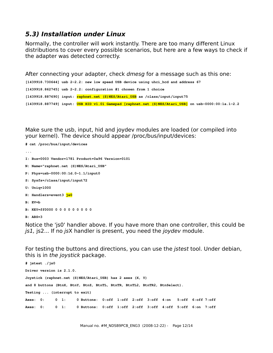### **5.3) Installation under Linux**

Normally, the controller will work instantly. There are too many different Linux distributions to cover every possible scenarios, but here are a few ways to check if the adapter was detected correctly.

After connecting your adapter, check *dmesg* for a message such as this one:

```
[1439918.730644] usb 2-2.2: new low speed USB device using uhci_hcd and address 67
[1439918.862745] usb 2-2.2: configuration #1 chosen from 1 choice
[1439918.887690] input: raphnet.net (S)NES/Atari_USB as /class/input/input75
[1439918.887749] input: USB HID v1.01 Gamepad [raphnet.net (S)NES/Atari_USB] on usb-0000:00:1a.1-2.2
```
Make sure the usb, input, hid and joydev modules are loaded (or compiled into your kernel). The device should appear /proc/bus/input/devices:

```
# cat /proc/bus/input/devices
...
I: Bus=0003 Vendor=1781 Product=0a96 Version=0101
N: Name="raphnet.net (S)NES/Atari_USB"
P: Phys=usb-0000:00:1d.0-1.1/input0
S: Sysfs=/class/input/input72
U: Uniq=1000
H: Handlers=event3 js0
B: EV=b
B: KEY=ff0000 0 0 0 0 0 0 0 0 0
B: ABS=3
```
Notice the 'js0' handler above. If you have more than one controller, this could be js1, js2... If no jsX handler is present, you need the joydev module.

For testing the buttons and directions, you can use the jstest tool. Under debian, this is in the joystick package.

```
# jstest ./js0
Driver version is 2.1.0.
Joystick (raphnet.net (S)NES/Atari_USB) has 2 axes (X, Y)
and 8 buttons (BtnX, BtnY, BtnZ, BtnTL, BtnTR, BtnTL2, BtnTR2, BtnSelect).
Testing ... (interrupt to exit)
Axes: 0: 0 1: 0 Buttons: 0:off 1:off 2:off 3:off 4:on 5:off 6:off 7:off
Axes: 0: 0 1: 0 Buttons: 0:off 1:off 2:off 3:off 4:off 5:off 6:on 7:off
```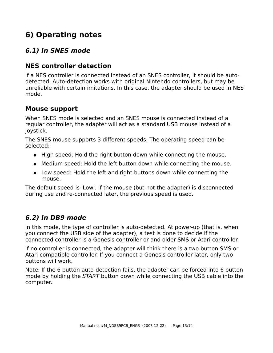# **6) Operating notes**

### **6.1) In SNES mode**

### **NES controller detection**

If a NES controller is connected instead of an SNES controller, it should be autodetected. Auto-detection works with original Nintendo controllers, but may be unreliable with certain imitations. In this case, the adapter should be used in NES mode.

### **Mouse support**

When SNES mode is selected and an SNES mouse is connected instead of a regular controller, the adapter will act as a standard USB mouse instead of a joystick.

The SNES mouse supports 3 different speeds. The operating speed can be selected:

- High speed: Hold the right button down while connecting the mouse.
- Medium speed: Hold the left button down while connecting the mouse.
- Low speed: Hold the left and right buttons down while connecting the mouse.

The default speed is 'Low'. If the mouse (but not the adapter) is disconnected during use and re-connected later, the previous speed is used.

### **6.2) In DB9 mode**

In this mode, the type of controller is auto-detected. At power-up (that is, when you connect the USB side of the adapter), a test is done to decide if the connected controller is a Genesis controller or and older SMS or Atari controller.

If no controller is connected, the adapter will think there is a two button SMS or Atari compatible controller. If you connect a Genesis controller later, only two buttons will work.

Note: If the 6 button auto-detection fails, the adapter can be forced into 6 button mode by holding the START button down while connecting the USB cable into the computer.